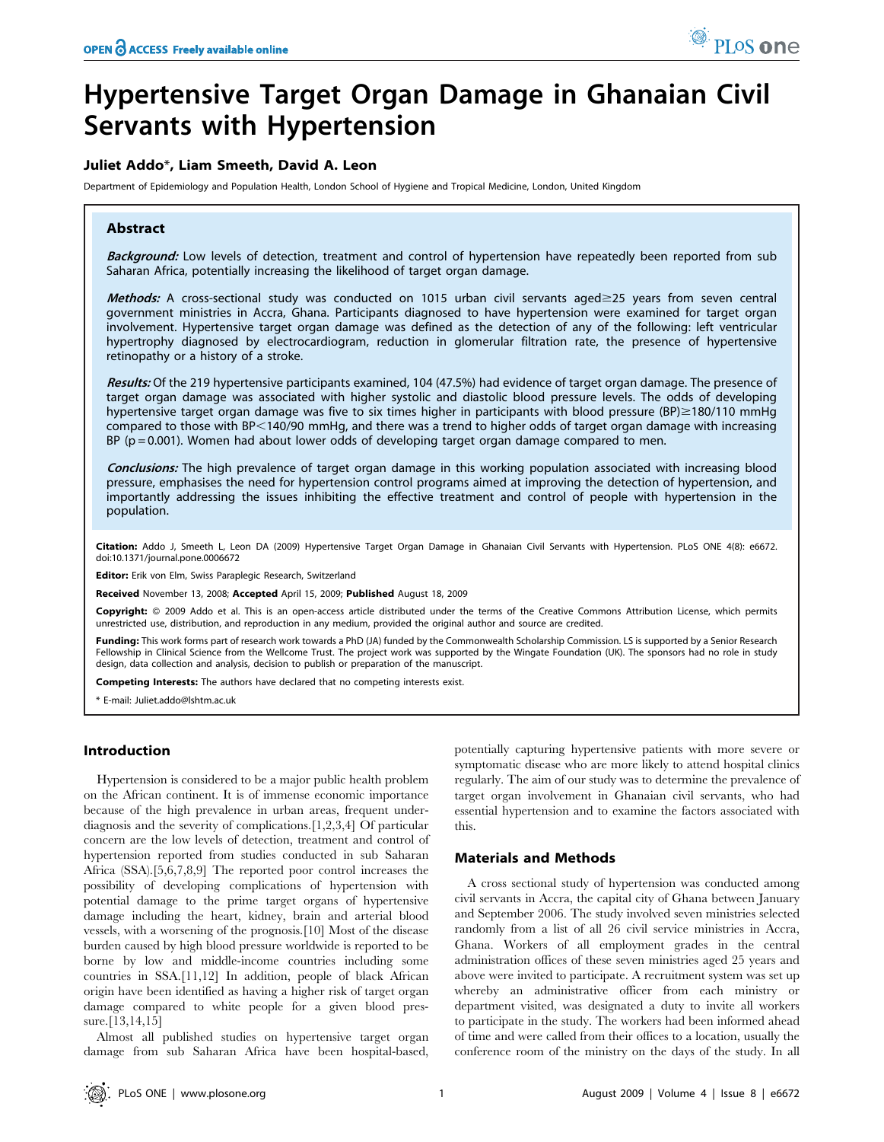# Hypertensive Target Organ Damage in Ghanaian Civil Servants with Hypertension

# Juliet Addo\*, Liam Smeeth, David A. Leon

Department of Epidemiology and Population Health, London School of Hygiene and Tropical Medicine, London, United Kingdom

## Abstract

Background: Low levels of detection, treatment and control of hypertension have repeatedly been reported from sub Saharan Africa, potentially increasing the likelihood of target organ damage.

Methods: A cross-sectional study was conducted on 1015 urban civil servants aged $\geq$ 25 years from seven central government ministries in Accra, Ghana. Participants diagnosed to have hypertension were examined for target organ involvement. Hypertensive target organ damage was defined as the detection of any of the following: left ventricular hypertrophy diagnosed by electrocardiogram, reduction in glomerular filtration rate, the presence of hypertensive retinopathy or a history of a stroke.

Results: Of the 219 hypertensive participants examined, 104 (47.5%) had evidence of target organ damage. The presence of target organ damage was associated with higher systolic and diastolic blood pressure levels. The odds of developing hypertensive target organ damage was five to six times higher in participants with blood pressure (BP) $\geq$ 180/110 mmHg compared to those with BP<140/90 mmHg, and there was a trend to higher odds of target organ damage with increasing  $BP$  ( $p = 0.001$ ). Women had about lower odds of developing target organ damage compared to men.

Conclusions: The high prevalence of target organ damage in this working population associated with increasing blood pressure, emphasises the need for hypertension control programs aimed at improving the detection of hypertension, and importantly addressing the issues inhibiting the effective treatment and control of people with hypertension in the population.

Citation: Addo J, Smeeth L, Leon DA (2009) Hypertensive Target Organ Damage in Ghanaian Civil Servants with Hypertension. PLoS ONE 4(8): e6672. doi:10.1371/journal.pone.0006672

Editor: Erik von Elm, Swiss Paraplegic Research, Switzerland

Received November 13, 2008; Accepted April 15, 2009; Published August 18, 2009

Copyright: @ 2009 Addo et al. This is an open-access article distributed under the terms of the Creative Commons Attribution License, which permits unrestricted use, distribution, and reproduction in any medium, provided the original author and source are credited.

Funding: This work forms part of research work towards a PhD (JA) funded by the Commonwealth Scholarship Commission. LS is supported by a Senior Research Fellowship in Clinical Science from the Wellcome Trust. The project work was supported by the Wingate Foundation (UK). The sponsors had no role in study design, data collection and analysis, decision to publish or preparation of the manuscript.

Competing Interests: The authors have declared that no competing interests exist.

\* E-mail: Juliet.addo@lshtm.ac.uk

#### Introduction

Hypertension is considered to be a major public health problem on the African continent. It is of immense economic importance because of the high prevalence in urban areas, frequent underdiagnosis and the severity of complications.[1,2,3,4] Of particular concern are the low levels of detection, treatment and control of hypertension reported from studies conducted in sub Saharan Africa (SSA).[5,6,7,8,9] The reported poor control increases the possibility of developing complications of hypertension with potential damage to the prime target organs of hypertensive damage including the heart, kidney, brain and arterial blood vessels, with a worsening of the prognosis.[10] Most of the disease burden caused by high blood pressure worldwide is reported to be borne by low and middle-income countries including some countries in SSA.[11,12] In addition, people of black African origin have been identified as having a higher risk of target organ damage compared to white people for a given blood pressure.[13,14,15]

Almost all published studies on hypertensive target organ damage from sub Saharan Africa have been hospital-based, potentially capturing hypertensive patients with more severe or symptomatic disease who are more likely to attend hospital clinics regularly. The aim of our study was to determine the prevalence of target organ involvement in Ghanaian civil servants, who had essential hypertension and to examine the factors associated with this.

# Materials and Methods

A cross sectional study of hypertension was conducted among civil servants in Accra, the capital city of Ghana between January and September 2006. The study involved seven ministries selected randomly from a list of all 26 civil service ministries in Accra, Ghana. Workers of all employment grades in the central administration offices of these seven ministries aged 25 years and above were invited to participate. A recruitment system was set up whereby an administrative officer from each ministry or department visited, was designated a duty to invite all workers to participate in the study. The workers had been informed ahead of time and were called from their offices to a location, usually the conference room of the ministry on the days of the study. In all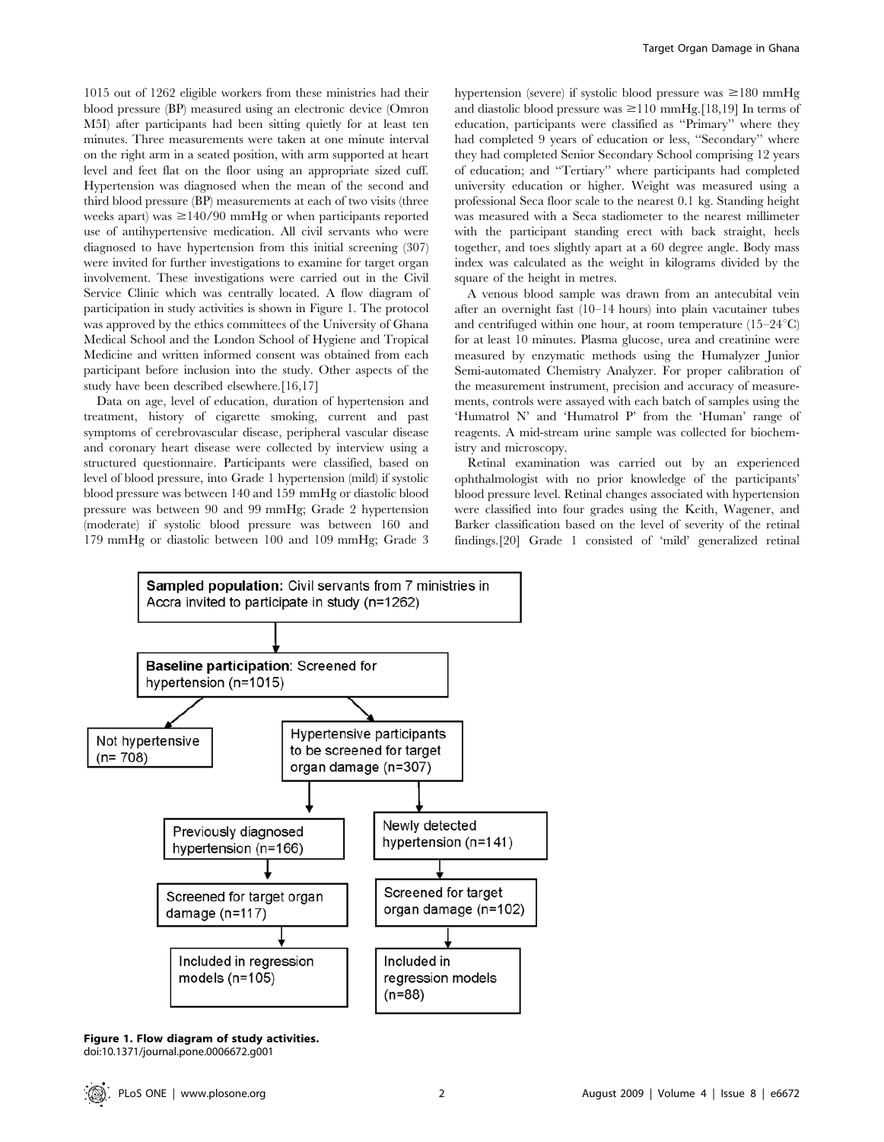1015 out of 1262 eligible workers from these ministries had their blood pressure (BP) measured using an electronic device (Omron M5I) after participants had been sitting quietly for at least ten minutes. Three measurements were taken at one minute interval on the right arm in a seated position, with arm supported at heart level and feet flat on the floor using an appropriate sized cuff. Hypertension was diagnosed when the mean of the second and third blood pressure (BP) measurements at each of two visits (three weeks apart) was  $\geq$ 140/90 mmHg or when participants reported use of antihypertensive medication. All civil servants who were diagnosed to have hypertension from this initial screening (307) were invited for further investigations to examine for target organ involvement. These investigations were carried out in the Civil Service Clinic which was centrally located. A flow diagram of participation in study activities is shown in Figure 1. The protocol was approved by the ethics committees of the University of Ghana Medical School and the London School of Hygiene and Tropical Medicine and written informed consent was obtained from each participant before inclusion into the study. Other aspects of the study have been described elsewhere.[16,17]

Data on age, level of education, duration of hypertension and treatment, history of cigarette smoking, current and past symptoms of cerebrovascular disease, peripheral vascular disease and coronary heart disease were collected by interview using a structured questionnaire. Participants were classified, based on level of blood pressure, into Grade 1 hypertension (mild) if systolic blood pressure was between 140 and 159 mmHg or diastolic blood pressure was between 90 and 99 mmHg; Grade 2 hypertension (moderate) if systolic blood pressure was between 160 and 179 mmHg or diastolic between 100 and 109 mmHg; Grade 3 hypertension (severe) if systolic blood pressure was  $\geq 180$  mmHg and diastolic blood pressure was  $\geq$ 110 mmHg.[18,19] In terms of education, participants were classified as ''Primary'' where they had completed 9 years of education or less, ''Secondary'' where they had completed Senior Secondary School comprising 12 years of education; and ''Tertiary'' where participants had completed university education or higher. Weight was measured using a professional Seca floor scale to the nearest 0.1 kg. Standing height was measured with a Seca stadiometer to the nearest millimeter with the participant standing erect with back straight, heels together, and toes slightly apart at a 60 degree angle. Body mass index was calculated as the weight in kilograms divided by the square of the height in metres.

A venous blood sample was drawn from an antecubital vein after an overnight fast (10–14 hours) into plain vacutainer tubes and centrifuged within one hour, at room temperature  $(15-24^{\circ}C)$ for at least 10 minutes. Plasma glucose, urea and creatinine were measured by enzymatic methods using the Humalyzer Junior Semi-automated Chemistry Analyzer. For proper calibration of the measurement instrument, precision and accuracy of measurements, controls were assayed with each batch of samples using the 'Humatrol N' and 'Humatrol P' from the 'Human' range of reagents. A mid-stream urine sample was collected for biochemistry and microscopy.

Retinal examination was carried out by an experienced ophthalmologist with no prior knowledge of the participants' blood pressure level. Retinal changes associated with hypertension were classified into four grades using the Keith, Wagener, and Barker classification based on the level of severity of the retinal findings.[20] Grade 1 consisted of 'mild' generalized retinal



Figure 1. Flow diagram of study activities. doi:10.1371/journal.pone.0006672.g001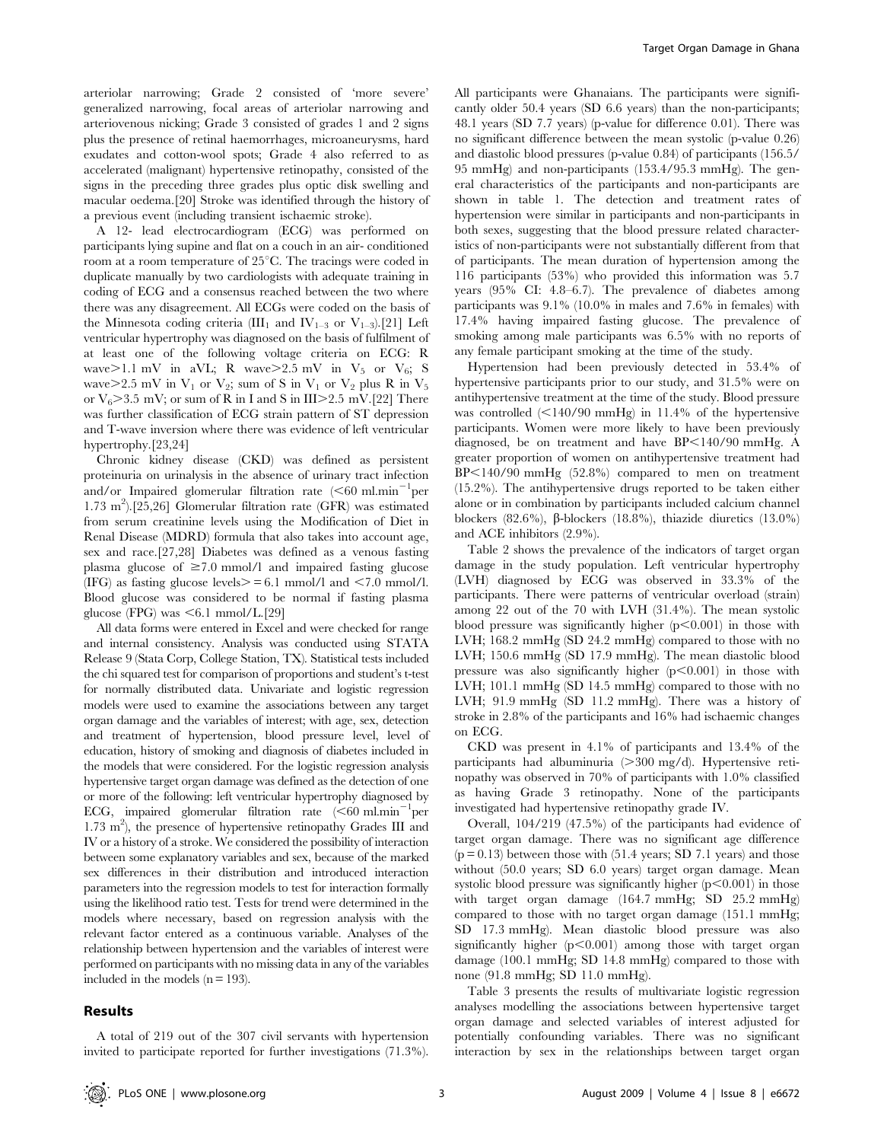arteriolar narrowing; Grade 2 consisted of 'more severe' generalized narrowing, focal areas of arteriolar narrowing and arteriovenous nicking; Grade 3 consisted of grades 1 and 2 signs plus the presence of retinal haemorrhages, microaneurysms, hard exudates and cotton-wool spots; Grade 4 also referred to as accelerated (malignant) hypertensive retinopathy, consisted of the signs in the preceding three grades plus optic disk swelling and macular oedema.[20] Stroke was identified through the history of a previous event (including transient ischaemic stroke).

A 12- lead electrocardiogram (ECG) was performed on participants lying supine and flat on a couch in an air- conditioned room at a room temperature of  $25^{\circ}$ C. The tracings were coded in duplicate manually by two cardiologists with adequate training in coding of ECG and a consensus reached between the two where there was any disagreement. All ECGs were coded on the basis of the Minnesota coding criteria (III<sub>1</sub> and IV<sub>1–3</sub> or V<sub>1–3</sub>).[21] Left ventricular hypertrophy was diagnosed on the basis of fulfilment of at least one of the following voltage criteria on ECG: R wave $>1.1$  mV in aVL; R wave $>2.5$  mV in V<sub>5</sub> or V<sub>6</sub>; S wave $>2.5$  mV in  $V_1$  or  $V_2$ ; sum of S in  $V_1$  or  $V_2$  plus R in  $V_5$ or  $V_6 > 3.5$  mV; or sum of R in I and S in III $> 2.5$  mV.[22] There was further classification of ECG strain pattern of ST depression and T-wave inversion where there was evidence of left ventricular hypertrophy.[23,24]

Chronic kidney disease (CKD) was defined as persistent proteinuria on urinalysis in the absence of urinary tract infection and/or Impaired glomerular filtration rate  $(< 60$  ml.min<sup>-1</sup>per 1.73 m<sup>2</sup> ).[25,26] Glomerular filtration rate (GFR) was estimated from serum creatinine levels using the Modification of Diet in Renal Disease (MDRD) formula that also takes into account age, sex and race.[27,28] Diabetes was defined as a venous fasting plasma glucose of  $\geq 7.0$  mmol/l and impaired fasting glucose (IFG) as fasting glucose levels $> = 6.1$  mmol/l and  $< 7.0$  mmol/l. Blood glucose was considered to be normal if fasting plasma glucose (FPG) was  $\leq 6.1$  mmol/L.[29]

All data forms were entered in Excel and were checked for range and internal consistency. Analysis was conducted using STATA Release 9 (Stata Corp, College Station, TX). Statistical tests included the chi squared test for comparison of proportions and student's t-test for normally distributed data. Univariate and logistic regression models were used to examine the associations between any target organ damage and the variables of interest; with age, sex, detection and treatment of hypertension, blood pressure level, level of education, history of smoking and diagnosis of diabetes included in the models that were considered. For the logistic regression analysis hypertensive target organ damage was defined as the detection of one or more of the following: left ventricular hypertrophy diagnosed by ECG, impaired glomerular filtration rate  $(<60$  ml.min<sup>-1</sup>per 1.73 m2 ), the presence of hypertensive retinopathy Grades III and IV or a history of a stroke. We considered the possibility of interaction between some explanatory variables and sex, because of the marked sex differences in their distribution and introduced interaction parameters into the regression models to test for interaction formally using the likelihood ratio test. Tests for trend were determined in the models where necessary, based on regression analysis with the relevant factor entered as a continuous variable. Analyses of the relationship between hypertension and the variables of interest were performed on participants with no missing data in any of the variables included in the models  $(n = 193)$ .

#### Results

All participants were Ghanaians. The participants were significantly older 50.4 years (SD 6.6 years) than the non-participants; 48.1 years (SD 7.7 years) (p-value for difference 0.01). There was no significant difference between the mean systolic (p-value 0.26) and diastolic blood pressures (p-value 0.84) of participants (156.5/ 95 mmHg) and non-participants (153.4/95.3 mmHg). The general characteristics of the participants and non-participants are shown in table 1. The detection and treatment rates of hypertension were similar in participants and non-participants in both sexes, suggesting that the blood pressure related characteristics of non-participants were not substantially different from that of participants. The mean duration of hypertension among the 116 participants (53%) who provided this information was 5.7 years (95% CI: 4.8–6.7). The prevalence of diabetes among participants was 9.1% (10.0% in males and 7.6% in females) with 17.4% having impaired fasting glucose. The prevalence of smoking among male participants was 6.5% with no reports of any female participant smoking at the time of the study.

Hypertension had been previously detected in 53.4% of hypertensive participants prior to our study, and 31.5% were on antihypertensive treatment at the time of the study. Blood pressure was controlled  $\leq$ 140/90 mmHg) in 11.4% of the hypertensive participants. Women were more likely to have been previously diagnosed, be on treatment and have  $BP<140/90$  mmHg. A greater proportion of women on antihypertensive treatment had  $BP<140/90$  mmHg  $(52.8%)$  compared to men on treatment (15.2%). The antihypertensive drugs reported to be taken either alone or in combination by participants included calcium channel blockers (82.6%), *b*-blockers (18.8%), thiazide diuretics (13.0%) and ACE inhibitors (2.9%).

Table 2 shows the prevalence of the indicators of target organ damage in the study population. Left ventricular hypertrophy (LVH) diagnosed by ECG was observed in 33.3% of the participants. There were patterns of ventricular overload (strain) among 22 out of the 70 with LVH (31.4%). The mean systolic blood pressure was significantly higher  $(p<0.001)$  in those with LVH; 168.2 mmHg (SD 24.2 mmHg) compared to those with no LVH; 150.6 mmHg (SD 17.9 mmHg). The mean diastolic blood pressure was also significantly higher  $(p<0.001)$  in those with LVH; 101.1 mmHg (SD 14.5 mmHg) compared to those with no LVH; 91.9 mmHg (SD 11.2 mmHg). There was a history of stroke in 2.8% of the participants and 16% had ischaemic changes on ECG.

CKD was present in 4.1% of participants and 13.4% of the participants had albuminuria  $(>300 \text{ mg/d})$ . Hypertensive retinopathy was observed in 70% of participants with 1.0% classified as having Grade 3 retinopathy. None of the participants investigated had hypertensive retinopathy grade IV.

Overall, 104/219 (47.5%) of the participants had evidence of target organ damage. There was no significant age difference  $(p = 0.13)$  between those with  $(51.4 \text{ years}; SD 7.1 \text{ years})$  and those without (50.0 years; SD 6.0 years) target organ damage. Mean systolic blood pressure was significantly higher  $(p<0.001)$  in those with target organ damage (164.7 mmHg; SD 25.2 mmHg) compared to those with no target organ damage (151.1 mmHg; SD 17.3 mmHg). Mean diastolic blood pressure was also significantly higher  $(p<0.001)$  among those with target organ damage (100.1 mmHg; SD 14.8 mmHg) compared to those with none (91.8 mmHg; SD 11.0 mmHg).

Table 3 presents the results of multivariate logistic regression analyses modelling the associations between hypertensive target organ damage and selected variables of interest adjusted for potentially confounding variables. There was no significant interaction by sex in the relationships between target organ

A total of 219 out of the 307 civil servants with hypertension invited to participate reported for further investigations (71.3%).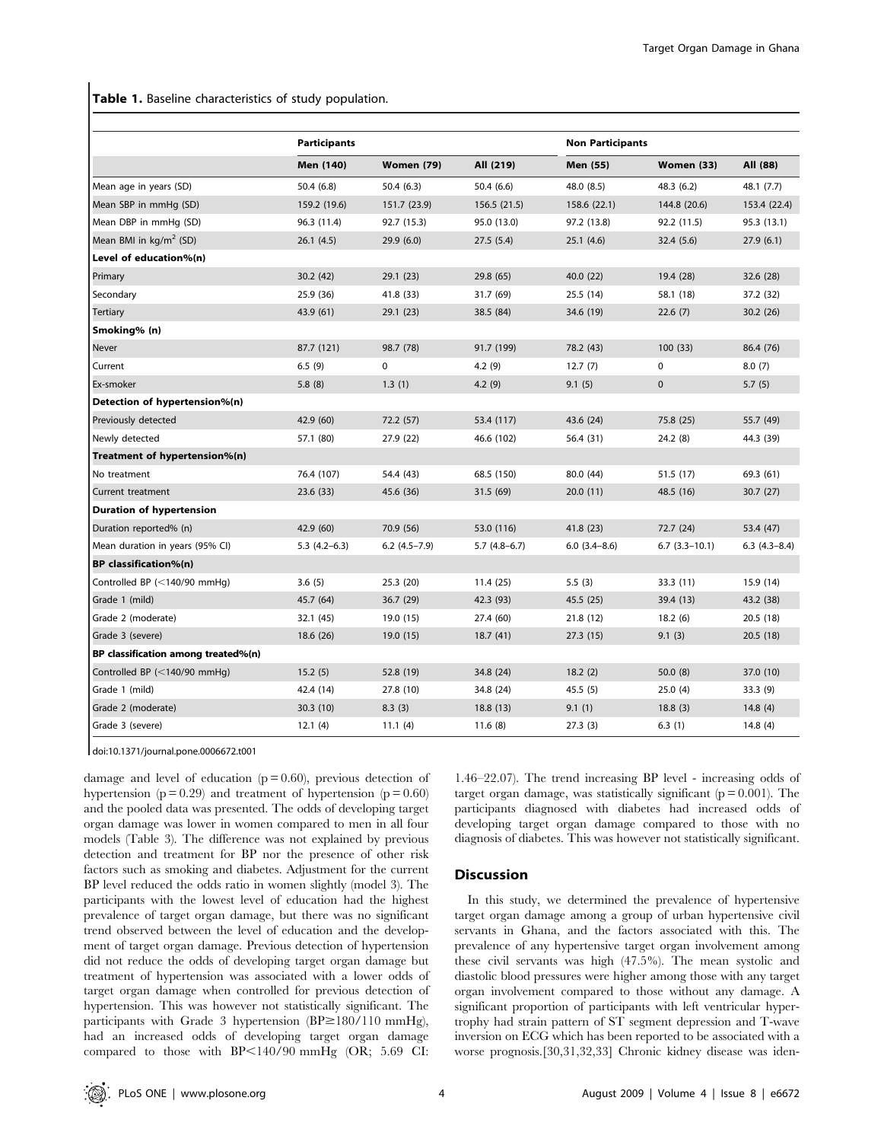Table 1. Baseline characteristics of study population.

|                                     | <b>Participants</b> |                   |                | <b>Non Participants</b> |                 |                |
|-------------------------------------|---------------------|-------------------|----------------|-------------------------|-----------------|----------------|
|                                     | Men (140)           | <b>Women (79)</b> | All (219)      | Men (55)                | Women (33)      | All (88)       |
| Mean age in years (SD)              | 50.4(6.8)           | 50.4(6.3)         | 50.4(6.6)      | 48.0 (8.5)              | 48.3 (6.2)      | 48.1 (7.7)     |
| Mean SBP in mmHg (SD)               | 159.2 (19.6)        | 151.7 (23.9)      | 156.5 (21.5)   | 158.6 (22.1)            | 144.8 (20.6)    | 153.4 (22.4)   |
| Mean DBP in mmHq (SD)               | 96.3 (11.4)         | 92.7 (15.3)       | 95.0 (13.0)    | 97.2 (13.8)             | 92.2 (11.5)     | 95.3 (13.1)    |
| Mean BMI in $kg/m^2$ (SD)           | 26.1(4.5)           | 29.9(6.0)         | 27.5(5.4)      | 25.1(4.6)               | 32.4(5.6)       | 27.9(6.1)      |
| Level of education%(n)              |                     |                   |                |                         |                 |                |
| Primary                             | 30.2(42)            | 29.1 (23)         | 29.8 (65)      | 40.0 (22)               | 19.4 (28)       | 32.6 (28)      |
| Secondary                           | 25.9 (36)           | 41.8 (33)         | 31.7 (69)      | 25.5(14)                | 58.1 (18)       | 37.2 (32)      |
| <b>Tertiary</b>                     | 43.9 (61)           | 29.1 (23)         | 38.5 (84)      | 34.6 (19)               | 22.6(7)         | 30.2(26)       |
| Smoking% (n)                        |                     |                   |                |                         |                 |                |
| <b>Never</b>                        | 87.7 (121)          | 98.7 (78)         | 91.7 (199)     | 78.2 (43)               | 100(33)         | 86.4 (76)      |
| Current                             | 6.5(9)              | 0                 | 4.2(9)         | 12.7(7)                 | 0               | 8.0(7)         |
| Ex-smoker                           | 5.8(8)              | 1.3(1)            | 4.2(9)         | 9.1(5)                  | 0               | 5.7(5)         |
| Detection of hypertension%(n)       |                     |                   |                |                         |                 |                |
| Previously detected                 | 42.9 (60)           | 72.2 (57)         | 53.4 (117)     | 43.6 (24)               | 75.8 (25)       | 55.7 (49)      |
| Newly detected                      | 57.1 (80)           | 27.9 (22)         | 46.6 (102)     | 56.4 (31)               | 24.2 (8)        | 44.3 (39)      |
| Treatment of hypertension%(n)       |                     |                   |                |                         |                 |                |
| No treatment                        | 76.4 (107)          | 54.4 (43)         | 68.5 (150)     | 80.0 (44)               | 51.5 (17)       | 69.3 (61)      |
| Current treatment                   | 23.6(33)            | 45.6 (36)         | 31.5(69)       | 20.0(11)                | 48.5 (16)       | 30.7(27)       |
| Duration of hypertension            |                     |                   |                |                         |                 |                |
| Duration reported% (n)              | 42.9 (60)           | 70.9 (56)         | 53.0 (116)     | 41.8 (23)               | 72.7 (24)       | 53.4 (47)      |
| Mean duration in years (95% CI)     | $5.3(4.2-6.3)$      | $6.2$ (4.5-7.9)   | $5.7(4.8-6.7)$ | $6.0$ $(3.4-8.6)$       | $6.7(3.3-10.1)$ | $6.3(4.3-8.4)$ |
| <b>BP</b> classification%(n)        |                     |                   |                |                         |                 |                |
| Controlled BP (<140/90 mmHq)        | 3.6(5)              | 25.3 (20)         | 11.4(25)       | 5.5(3)                  | 33.3 (11)       | 15.9 (14)      |
| Grade 1 (mild)                      | 45.7 (64)           | 36.7 (29)         | 42.3 (93)      | 45.5 (25)               | 39.4 (13)       | 43.2 (38)      |
| Grade 2 (moderate)                  | 32.1 (45)           | 19.0 (15)         | 27.4 (60)      | 21.8 (12)               | 18.2(6)         | 20.5(18)       |
| Grade 3 (severe)                    | 18.6(26)            | 19.0(15)          | 18.7(41)       | 27.3(15)                | 9.1(3)          | 20.5(18)       |
| BP classification among treated%(n) |                     |                   |                |                         |                 |                |
| Controlled BP (<140/90 mmHg)        | 15.2(5)             | 52.8 (19)         | 34.8 (24)      | 18.2(2)                 | 50.0(8)         | 37.0 (10)      |
| Grade 1 (mild)                      | 42.4 (14)           | 27.8 (10)         | 34.8 (24)      | 45.5(5)                 | 25.0(4)         | 33.3(9)        |
| Grade 2 (moderate)                  | 30.3(10)            | 8.3(3)            | 18.8(13)       | 9.1(1)                  | 18.8(3)         | 14.8(4)        |
| Grade 3 (severe)                    | 12.1(4)             | 11.1(4)           | 11.6(8)        | 27.3(3)                 | 6.3(1)          | 14.8(4)        |

doi:10.1371/journal.pone.0006672.t001

damage and level of education  $(p = 0.60)$ , previous detection of hypertension ( $p = 0.29$ ) and treatment of hypertension ( $p = 0.60$ ) and the pooled data was presented. The odds of developing target organ damage was lower in women compared to men in all four models (Table 3). The difference was not explained by previous detection and treatment for BP nor the presence of other risk factors such as smoking and diabetes. Adjustment for the current BP level reduced the odds ratio in women slightly (model 3). The participants with the lowest level of education had the highest prevalence of target organ damage, but there was no significant trend observed between the level of education and the development of target organ damage. Previous detection of hypertension did not reduce the odds of developing target organ damage but treatment of hypertension was associated with a lower odds of target organ damage when controlled for previous detection of hypertension. This was however not statistically significant. The participants with Grade 3 hypertension  $(BP \ge 180/110 \text{ mmHg})$ , had an increased odds of developing target organ damage compared to those with  $BP<140/90$  mmHg (OR; 5.69 CI:

1.46–22.07). The trend increasing BP level - increasing odds of target organ damage, was statistically significant ( $p = 0.001$ ). The participants diagnosed with diabetes had increased odds of developing target organ damage compared to those with no diagnosis of diabetes. This was however not statistically significant.

### Discussion

In this study, we determined the prevalence of hypertensive target organ damage among a group of urban hypertensive civil servants in Ghana, and the factors associated with this. The prevalence of any hypertensive target organ involvement among these civil servants was high (47.5%). The mean systolic and diastolic blood pressures were higher among those with any target organ involvement compared to those without any damage. A significant proportion of participants with left ventricular hypertrophy had strain pattern of ST segment depression and T-wave inversion on ECG which has been reported to be associated with a worse prognosis.[30,31,32,33] Chronic kidney disease was iden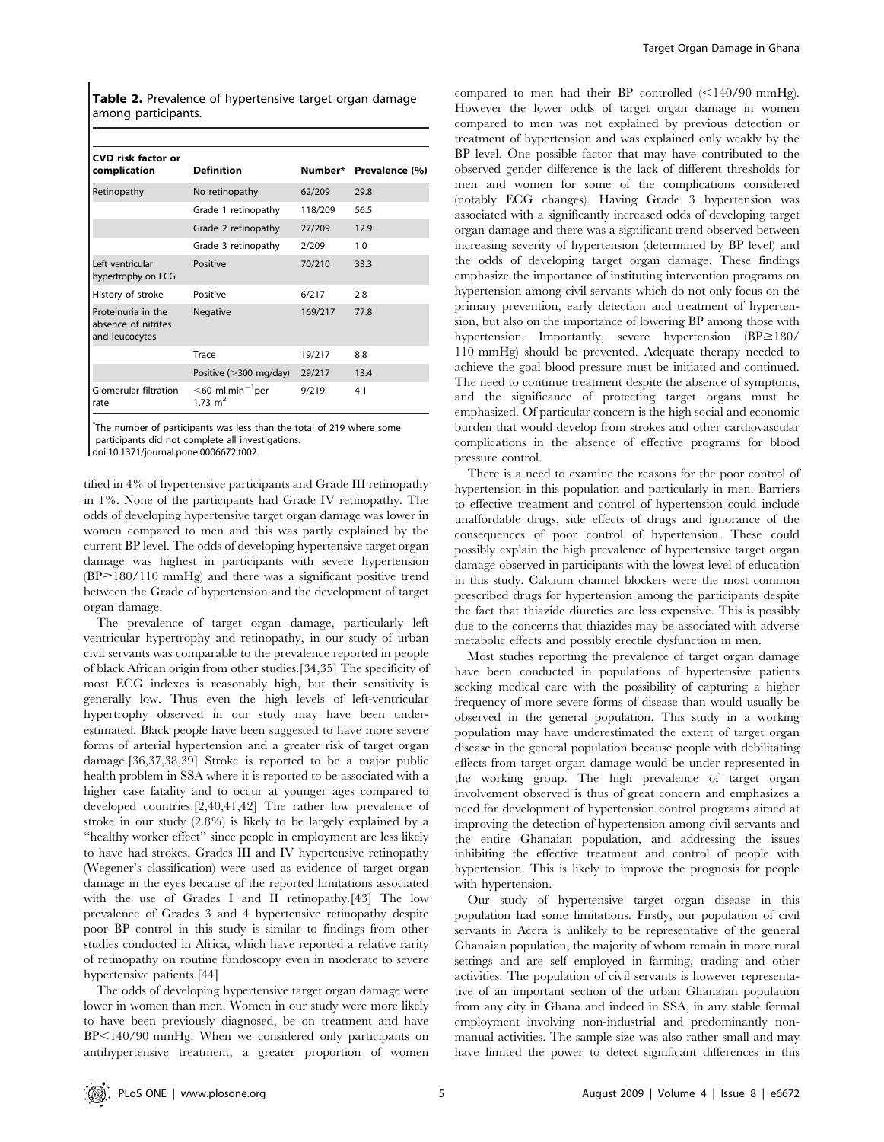Table 2. Prevalence of hypertensive target organ damage among participants.

| <b>CVD risk factor or</b><br>complication                   | <b>Definition</b>                      | Number* | Prevalence (%) |  |
|-------------------------------------------------------------|----------------------------------------|---------|----------------|--|
| Retinopathy                                                 | No retinopathy                         | 62/209  | 29.8           |  |
|                                                             | Grade 1 retinopathy                    | 118/209 | 56.5           |  |
|                                                             | Grade 2 retinopathy                    | 27/209  | 12.9           |  |
|                                                             | Grade 3 retinopathy                    | 2/209   | 1.0            |  |
| Left ventricular<br>hypertrophy on ECG                      | Positive                               | 70/210  | 33.3           |  |
| History of stroke                                           | Positive                               | 6/217   | 2.8            |  |
| Proteinuria in the<br>absence of nitrites<br>and leucocytes | <b>Negative</b>                        | 169/217 | 77.8           |  |
|                                                             | Trace                                  | 19/217  | 8.8            |  |
|                                                             | Positive $(>300 \text{ mg/day})$       | 29/217  | 13.4           |  |
| Glomerular filtration<br>rate                               | $<$ 60 ml.min $^{-1}$ per<br>1.73 $m2$ | 9/219   | 4.1            |  |

\* The number of participants was less than the total of 219 where some participants did not complete all investigations.

doi:10.1371/journal.pone.0006672.t002

tified in 4% of hypertensive participants and Grade III retinopathy in 1%. None of the participants had Grade IV retinopathy. The odds of developing hypertensive target organ damage was lower in women compared to men and this was partly explained by the current BP level. The odds of developing hypertensive target organ damage was highest in participants with severe hypertension  $(BP \ge 180/110 \text{ mmHg})$  and there was a significant positive trend between the Grade of hypertension and the development of target organ damage.

The prevalence of target organ damage, particularly left ventricular hypertrophy and retinopathy, in our study of urban civil servants was comparable to the prevalence reported in people of black African origin from other studies.[34,35] The specificity of most ECG indexes is reasonably high, but their sensitivity is generally low. Thus even the high levels of left-ventricular hypertrophy observed in our study may have been underestimated. Black people have been suggested to have more severe forms of arterial hypertension and a greater risk of target organ damage.[36,37,38,39] Stroke is reported to be a major public health problem in SSA where it is reported to be associated with a higher case fatality and to occur at younger ages compared to developed countries.[2,40,41,42] The rather low prevalence of stroke in our study (2.8%) is likely to be largely explained by a ''healthy worker effect'' since people in employment are less likely to have had strokes. Grades III and IV hypertensive retinopathy (Wegener's classification) were used as evidence of target organ damage in the eyes because of the reported limitations associated with the use of Grades I and II retinopathy.[43] The low prevalence of Grades 3 and 4 hypertensive retinopathy despite poor BP control in this study is similar to findings from other studies conducted in Africa, which have reported a relative rarity of retinopathy on routine fundoscopy even in moderate to severe hypertensive patients.[44]

The odds of developing hypertensive target organ damage were lower in women than men. Women in our study were more likely to have been previously diagnosed, be on treatment and have BP<140/90 mmHg. When we considered only participants on antihypertensive treatment, a greater proportion of women compared to men had their BP controlled  $\leq$ 140/90 mmHg). However the lower odds of target organ damage in women compared to men was not explained by previous detection or treatment of hypertension and was explained only weakly by the BP level. One possible factor that may have contributed to the observed gender difference is the lack of different thresholds for men and women for some of the complications considered (notably ECG changes). Having Grade 3 hypertension was associated with a significantly increased odds of developing target organ damage and there was a significant trend observed between increasing severity of hypertension (determined by BP level) and the odds of developing target organ damage. These findings emphasize the importance of instituting intervention programs on hypertension among civil servants which do not only focus on the primary prevention, early detection and treatment of hypertension, but also on the importance of lowering BP among those with hypertension. Importantly, severe hypertension  $(BP \ge 180/$ 110 mmHg) should be prevented. Adequate therapy needed to achieve the goal blood pressure must be initiated and continued. The need to continue treatment despite the absence of symptoms, and the significance of protecting target organs must be emphasized. Of particular concern is the high social and economic burden that would develop from strokes and other cardiovascular complications in the absence of effective programs for blood pressure control.

There is a need to examine the reasons for the poor control of hypertension in this population and particularly in men. Barriers to effective treatment and control of hypertension could include unaffordable drugs, side effects of drugs and ignorance of the consequences of poor control of hypertension. These could possibly explain the high prevalence of hypertensive target organ damage observed in participants with the lowest level of education in this study. Calcium channel blockers were the most common prescribed drugs for hypertension among the participants despite the fact that thiazide diuretics are less expensive. This is possibly due to the concerns that thiazides may be associated with adverse metabolic effects and possibly erectile dysfunction in men.

Most studies reporting the prevalence of target organ damage have been conducted in populations of hypertensive patients seeking medical care with the possibility of capturing a higher frequency of more severe forms of disease than would usually be observed in the general population. This study in a working population may have underestimated the extent of target organ disease in the general population because people with debilitating effects from target organ damage would be under represented in the working group. The high prevalence of target organ involvement observed is thus of great concern and emphasizes a need for development of hypertension control programs aimed at improving the detection of hypertension among civil servants and the entire Ghanaian population, and addressing the issues inhibiting the effective treatment and control of people with hypertension. This is likely to improve the prognosis for people with hypertension.

Our study of hypertensive target organ disease in this population had some limitations. Firstly, our population of civil servants in Accra is unlikely to be representative of the general Ghanaian population, the majority of whom remain in more rural settings and are self employed in farming, trading and other activities. The population of civil servants is however representative of an important section of the urban Ghanaian population from any city in Ghana and indeed in SSA, in any stable formal employment involving non-industrial and predominantly nonmanual activities. The sample size was also rather small and may have limited the power to detect significant differences in this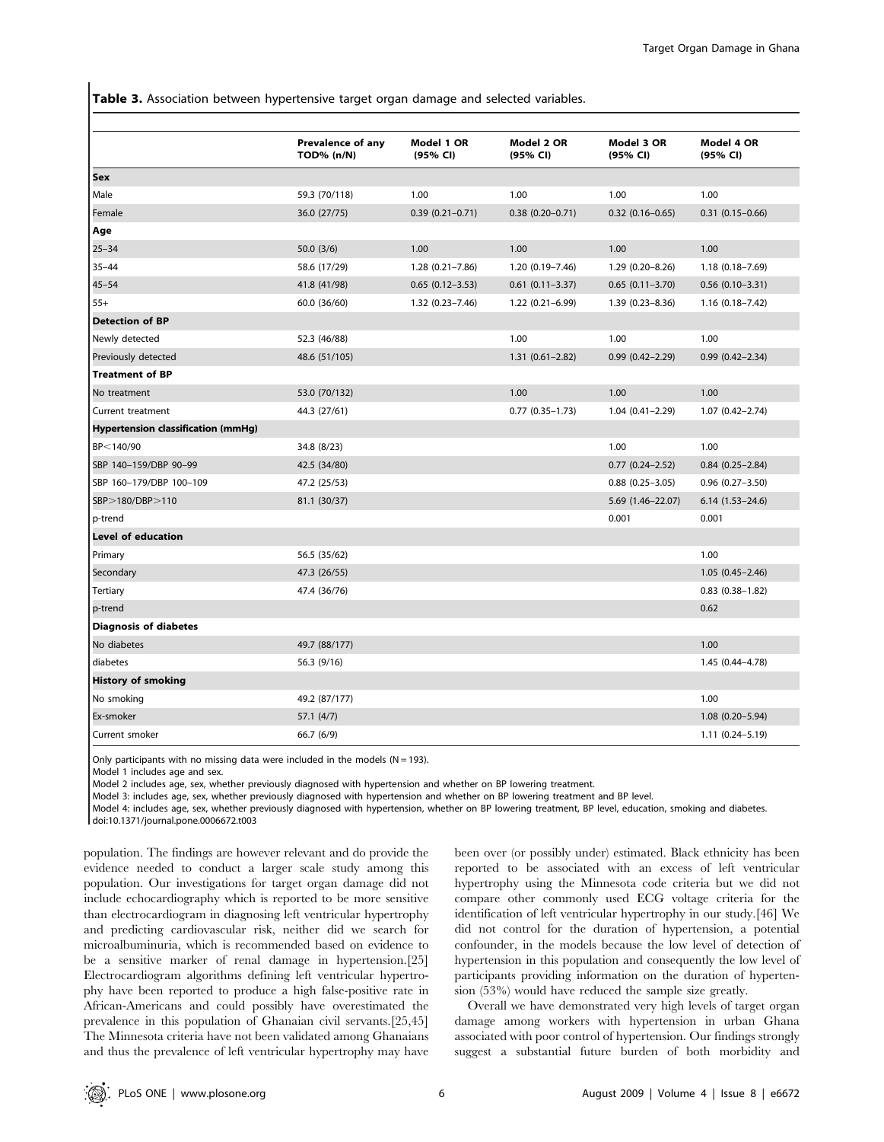Table 3. Association between hypertensive target organ damage and selected variables.

|                                           | Prevalence of any<br><b>TOD% (n/N)</b> | Model 1 OR<br>(95% CI) | Model 2 OR<br>(95% CI) | Model 3 OR<br>(95% CI) | Model 4 OR<br>(95% CI) |
|-------------------------------------------|----------------------------------------|------------------------|------------------------|------------------------|------------------------|
| Sex                                       |                                        |                        |                        |                        |                        |
| Male                                      | 59.3 (70/118)                          | 1.00                   | 1.00                   | 1.00                   | 1.00                   |
| Female                                    | 36.0 (27/75)                           | $0.39(0.21 - 0.71)$    | $0.38(0.20 - 0.71)$    | $0.32$ (0.16-0.65)     | $0.31(0.15 - 0.66)$    |
| Age                                       |                                        |                        |                        |                        |                        |
| $25 - 34$                                 | 50.0(3/6)                              | 1.00                   | 1.00                   | 1.00                   | 1.00                   |
| $35 - 44$                                 | 58.6 (17/29)                           | $1.28(0.21 - 7.86)$    | 1.20 (0.19-7.46)       | 1.29 (0.20-8.26)       | $1.18(0.18 - 7.69)$    |
| $45 - 54$                                 | 41.8 (41/98)                           | $0.65$ $(0.12 - 3.53)$ | $0.61$ $(0.11 - 3.37)$ | $0.65$ $(0.11 - 3.70)$ | $0.56$ $(0.10-3.31)$   |
| $55+$                                     | 60.0 (36/60)                           | $1.32(0.23 - 7.46)$    | $1.22(0.21 - 6.99)$    | 1.39 (0.23-8.36)       | $1.16(0.18 - 7.42)$    |
| <b>Detection of BP</b>                    |                                        |                        |                        |                        |                        |
| Newly detected                            | 52.3 (46/88)                           |                        | 1.00                   | 1.00                   | 1.00                   |
| Previously detected                       | 48.6 (51/105)                          |                        | $1.31(0.61 - 2.82)$    | $0.99$ $(0.42 - 2.29)$ | $0.99(0.42 - 2.34)$    |
| <b>Treatment of BP</b>                    |                                        |                        |                        |                        |                        |
| No treatment                              | 53.0 (70/132)                          |                        | 1.00                   | 1.00                   | 1.00                   |
| Current treatment                         | 44.3 (27/61)                           |                        | $0.77$ $(0.35 - 1.73)$ | $1.04(0.41 - 2.29)$    | $1.07(0.42 - 2.74)$    |
| <b>Hypertension classification (mmHg)</b> |                                        |                        |                        |                        |                        |
| BP<140/90                                 | 34.8 (8/23)                            |                        |                        | 1.00                   | 1.00                   |
| SBP 140-159/DBP 90-99                     | 42.5 (34/80)                           |                        |                        | $0.77$ $(0.24 - 2.52)$ | $0.84$ (0.25-2.84)     |
| SBP 160-179/DBP 100-109                   | 47.2 (25/53)                           |                        |                        | $0.88$ $(0.25 - 3.05)$ | $0.96$ $(0.27 - 3.50)$ |
| SBP>180/DBP>110                           | 81.1 (30/37)                           |                        |                        | 5.69 (1.46-22.07)      | $6.14(1.53 - 24.6)$    |
| p-trend                                   |                                        |                        |                        | 0.001                  | 0.001                  |
| <b>Level of education</b>                 |                                        |                        |                        |                        |                        |
| Primary                                   | 56.5 (35/62)                           |                        |                        |                        | 1.00                   |
| Secondary                                 | 47.3 (26/55)                           |                        |                        |                        | $1.05(0.45 - 2.46)$    |
| Tertiary                                  | 47.4 (36/76)                           |                        |                        |                        | $0.83$ $(0.38 - 1.82)$ |
| p-trend                                   |                                        |                        |                        |                        | 0.62                   |
| <b>Diagnosis of diabetes</b>              |                                        |                        |                        |                        |                        |
| No diabetes                               | 49.7 (88/177)                          |                        |                        |                        | 1.00                   |
| diabetes                                  | 56.3 (9/16)                            |                        |                        |                        | 1.45 (0.44-4.78)       |
| <b>History of smoking</b>                 |                                        |                        |                        |                        |                        |
| No smoking                                | 49.2 (87/177)                          |                        |                        |                        | 1.00                   |
| Ex-smoker                                 | 57.1(4/7)                              |                        |                        |                        | 1.08 (0.20-5.94)       |
| Current smoker                            | 66.7 (6/9)                             |                        |                        |                        | $1.11(0.24 - 5.19)$    |

Only participants with no missing data were included in the models ( $N = 193$ ).

Model 1 includes age and sex.

Model 2 includes age, sex, whether previously diagnosed with hypertension and whether on BP lowering treatment.

Model 3: includes age, sex, whether previously diagnosed with hypertension and whether on BP lowering treatment and BP level.

Model 4: includes age, sex, whether previously diagnosed with hypertension, whether on BP lowering treatment, BP level, education, smoking and diabetes.

doi:10.1371/journal.pone.0006672.t003

population. The findings are however relevant and do provide the evidence needed to conduct a larger scale study among this population. Our investigations for target organ damage did not include echocardiography which is reported to be more sensitive than electrocardiogram in diagnosing left ventricular hypertrophy and predicting cardiovascular risk, neither did we search for microalbuminuria, which is recommended based on evidence to be a sensitive marker of renal damage in hypertension.[25] Electrocardiogram algorithms defining left ventricular hypertrophy have been reported to produce a high false-positive rate in African-Americans and could possibly have overestimated the prevalence in this population of Ghanaian civil servants.[25,45] The Minnesota criteria have not been validated among Ghanaians and thus the prevalence of left ventricular hypertrophy may have

been over (or possibly under) estimated. Black ethnicity has been reported to be associated with an excess of left ventricular hypertrophy using the Minnesota code criteria but we did not compare other commonly used ECG voltage criteria for the identification of left ventricular hypertrophy in our study.[46] We did not control for the duration of hypertension, a potential confounder, in the models because the low level of detection of hypertension in this population and consequently the low level of participants providing information on the duration of hypertension (53%) would have reduced the sample size greatly.

Overall we have demonstrated very high levels of target organ damage among workers with hypertension in urban Ghana associated with poor control of hypertension. Our findings strongly suggest a substantial future burden of both morbidity and